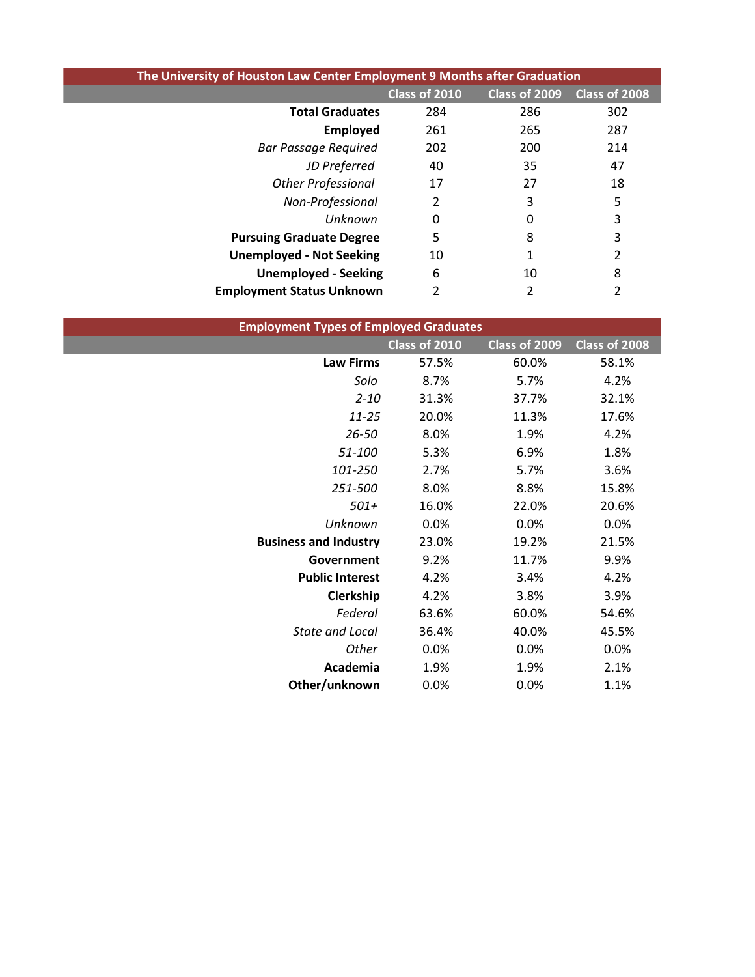| The University of Houston Law Center Employment 9 Months after Graduation |               |               |               |
|---------------------------------------------------------------------------|---------------|---------------|---------------|
|                                                                           | Class of 2010 | Class of 2009 | Class of 2008 |
| <b>Total Graduates</b>                                                    | 284           | 286           | 302           |
| <b>Employed</b>                                                           | 261           | 265           | 287           |
| <b>Bar Passage Required</b>                                               | 202           | 200           | 214           |
| JD Preferred                                                              | 40            | 35            | 47            |
| <b>Other Professional</b>                                                 | 17            | 27            | 18            |
| Non-Professional                                                          | 2             | 3             | 5             |
| Unknown                                                                   | 0             | 0             | 3             |
| <b>Pursuing Graduate Degree</b>                                           | 5             | 8             | 3             |
| <b>Unemployed - Not Seeking</b>                                           | 10            |               |               |
| <b>Unemployed - Seeking</b>                                               | 6             | 10            | 8             |
| <b>Employment Status Unknown</b>                                          |               |               | 2             |

| <b>Employment Types of Employed Graduates</b> |               |               |               |
|-----------------------------------------------|---------------|---------------|---------------|
|                                               | Class of 2010 | Class of 2009 | Class of 2008 |
| <b>Law Firms</b>                              | 57.5%         | 60.0%         | 58.1%         |
| Solo                                          | 8.7%          | 5.7%          | 4.2%          |
| $2 - 10$                                      | 31.3%         | 37.7%         | 32.1%         |
| $11 - 25$                                     | 20.0%         | 11.3%         | 17.6%         |
| $26 - 50$                                     | 8.0%          | 1.9%          | 4.2%          |
| 51-100                                        | 5.3%          | 6.9%          | 1.8%          |
| 101-250                                       | 2.7%          | 5.7%          | 3.6%          |
| 251-500                                       | 8.0%          | 8.8%          | 15.8%         |
| $501+$                                        | 16.0%         | 22.0%         | 20.6%         |
| Unknown                                       | 0.0%          | 0.0%          | 0.0%          |
| <b>Business and Industry</b>                  | 23.0%         | 19.2%         | 21.5%         |
| Government                                    | 9.2%          | 11.7%         | 9.9%          |
| <b>Public Interest</b>                        | 4.2%          | 3.4%          | 4.2%          |
| Clerkship                                     | 4.2%          | 3.8%          | 3.9%          |
| Federal                                       | 63.6%         | 60.0%         | 54.6%         |
| State and Local                               | 36.4%         | 40.0%         | 45.5%         |
| Other                                         | 0.0%          | 0.0%          | 0.0%          |
| Academia                                      | 1.9%          | 1.9%          | 2.1%          |
| Other/unknown                                 | 0.0%          | 0.0%          | 1.1%          |
|                                               |               |               |               |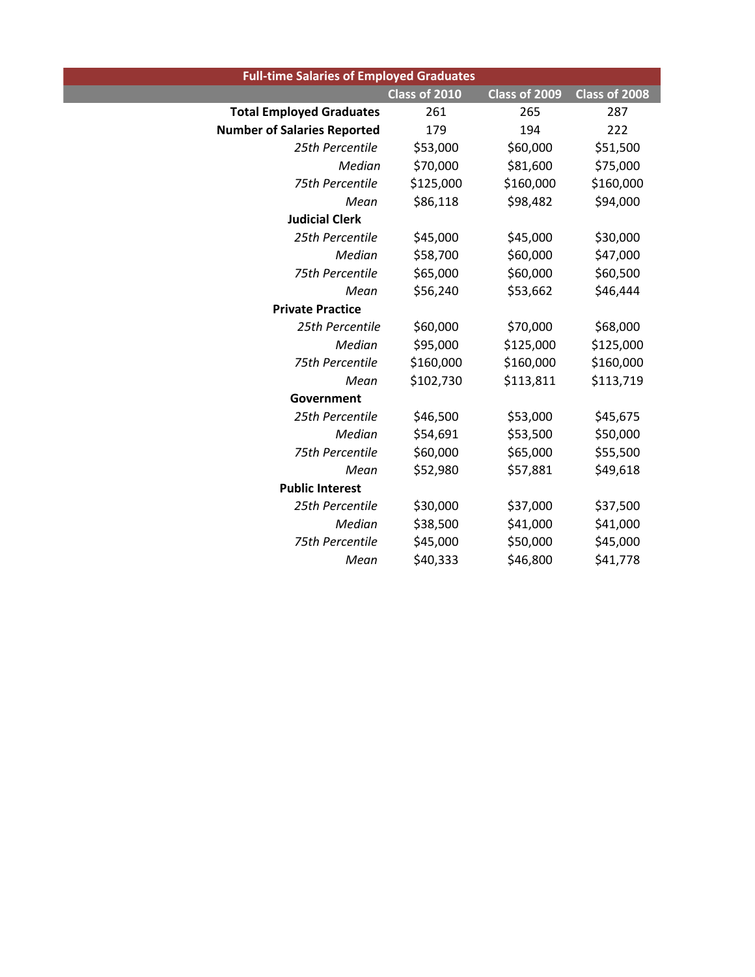| <b>Full-time Salaries of Employed Graduates</b> |               |               |               |
|-------------------------------------------------|---------------|---------------|---------------|
|                                                 | Class of 2010 | Class of 2009 | Class of 2008 |
| <b>Total Employed Graduates</b>                 | 261           | 265           | 287           |
| <b>Number of Salaries Reported</b>              | 179           | 194           | 222           |
| 25th Percentile                                 | \$53,000      | \$60,000      | \$51,500      |
| Median                                          | \$70,000      | \$81,600      | \$75,000      |
| 75th Percentile                                 | \$125,000     | \$160,000     | \$160,000     |
| Mean                                            | \$86,118      | \$98,482      | \$94,000      |
| <b>Judicial Clerk</b>                           |               |               |               |
| 25th Percentile                                 | \$45,000      | \$45,000      | \$30,000      |
| Median                                          | \$58,700      | \$60,000      | \$47,000      |
| 75th Percentile                                 | \$65,000      | \$60,000      | \$60,500      |
| Mean                                            | \$56,240      | \$53,662      | \$46,444      |
| <b>Private Practice</b>                         |               |               |               |
| 25th Percentile                                 | \$60,000      | \$70,000      | \$68,000      |
| Median                                          | \$95,000      | \$125,000     | \$125,000     |
| 75th Percentile                                 | \$160,000     | \$160,000     | \$160,000     |
| Mean                                            | \$102,730     | \$113,811     | \$113,719     |
| Government                                      |               |               |               |
| 25th Percentile                                 | \$46,500      | \$53,000      | \$45,675      |
| Median                                          | \$54,691      | \$53,500      | \$50,000      |
| 75th Percentile                                 | \$60,000      | \$65,000      | \$55,500      |
| Mean                                            | \$52,980      | \$57,881      | \$49,618      |
| <b>Public Interest</b>                          |               |               |               |
| 25th Percentile                                 | \$30,000      | \$37,000      | \$37,500      |
| Median                                          | \$38,500      | \$41,000      | \$41,000      |
| 75th Percentile                                 | \$45,000      | \$50,000      | \$45,000      |
| Mean                                            | \$40,333      | \$46,800      | \$41,778      |